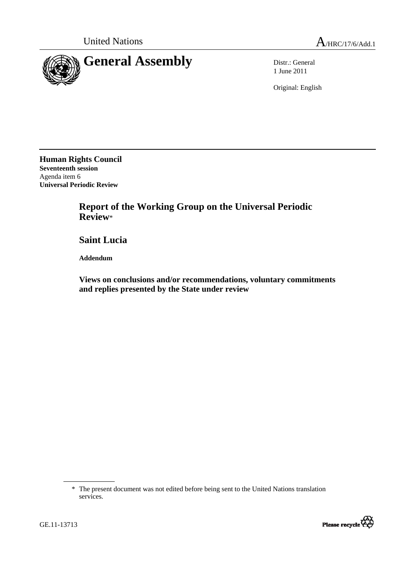



1 June 2011

Original: English

**Human Rights Council Seventeenth session**  Agenda item 6 **Universal Periodic Review** 

> **Report of the Working Group on the Universal Periodic Review**\*

 **Saint Lucia** 

 **Addendum** 

 **Views on conclusions and/or recommendations, voluntary commitments and replies presented by the State under review** 

<sup>\*</sup> The present document was not edited before being sent to the United Nations translation services.



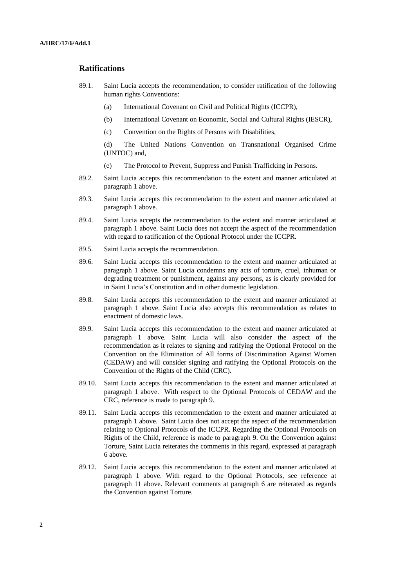#### **Ratifications**

- 89.1. Saint Lucia accepts the recommendation, to consider ratification of the following human rights Conventions:
	- (a) International Covenant on Civil and Political Rights (ICCPR),
	- (b) International Covenant on Economic, Social and Cultural Rights (IESCR),
	- (c) Convention on the Rights of Persons with Disabilities,

 (d) The United Nations Convention on Transnational Organised Crime (UNTOC) and,

- (e) The Protocol to Prevent, Suppress and Punish Trafficking in Persons.
- 89.2. Saint Lucia accepts this recommendation to the extent and manner articulated at paragraph 1 above.
- 89.3. Saint Lucia accepts this recommendation to the extent and manner articulated at paragraph 1 above.
- 89.4. Saint Lucia accepts the recommendation to the extent and manner articulated at paragraph 1 above. Saint Lucia does not accept the aspect of the recommendation with regard to ratification of the Optional Protocol under the ICCPR.
- 89.5. Saint Lucia accepts the recommendation.
- 89.6. Saint Lucia accepts this recommendation to the extent and manner articulated at paragraph 1 above. Saint Lucia condemns any acts of torture, cruel, inhuman or degrading treatment or punishment, against any persons, as is clearly provided for in Saint Lucia's Constitution and in other domestic legislation.
- 89.8. Saint Lucia accepts this recommendation to the extent and manner articulated at paragraph 1 above. Saint Lucia also accepts this recommendation as relates to enactment of domestic laws.
- 89.9. Saint Lucia accepts this recommendation to the extent and manner articulated at paragraph 1 above. Saint Lucia will also consider the aspect of the recommendation as it relates to signing and ratifying the Optional Protocol on the Convention on the Elimination of All forms of Discrimination Against Women (CEDAW) and will consider signing and ratifying the Optional Protocols on the Convention of the Rights of the Child (CRC).
- 89.10. Saint Lucia accepts this recommendation to the extent and manner articulated at paragraph 1 above. With respect to the Optional Protocols of CEDAW and the CRC, reference is made to paragraph 9.
- 89.11. Saint Lucia accepts this recommendation to the extent and manner articulated at paragraph 1 above. Saint Lucia does not accept the aspect of the recommendation relating to Optional Protocols of the ICCPR. Regarding the Optional Protocols on Rights of the Child, reference is made to paragraph 9. On the Convention against Torture, Saint Lucia reiterates the comments in this regard, expressed at paragraph 6 above.
- 89.12. Saint Lucia accepts this recommendation to the extent and manner articulated at paragraph 1 above. With regard to the Optional Protocols, see reference at paragraph 11 above. Relevant comments at paragraph 6 are reiterated as regards the Convention against Torture.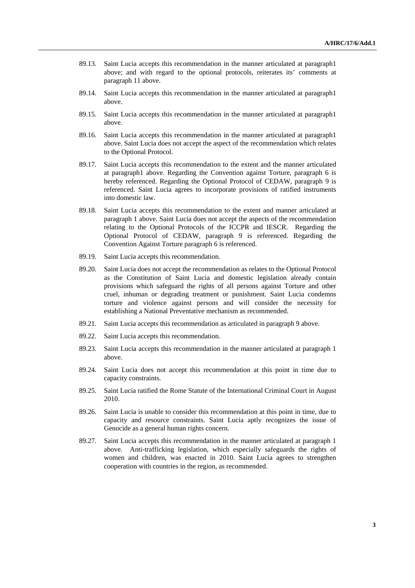- 89.13. Saint Lucia accepts this recommendation in the manner articulated at paragraph1 above; and with regard to the optional protocols, reiterates its' comments at paragraph 11 above.
- 89.14. Saint Lucia accepts this recommendation in the manner articulated at paragraph1 above.
- 89.15. Saint Lucia accepts this recommendation in the manner articulated at paragraph1 above.
- 89.16. Saint Lucia accepts this recommendation in the manner articulated at paragraph1 above. Saint Lucia does not accept the aspect of the recommendation which relates to the Optional Protocol.
- 89.17. Saint Lucia accepts this recommendation to the extent and the manner articulated at paragraph1 above. Regarding the Convention against Torture, paragraph 6 is hereby referenced. Regarding the Optional Protocol of CEDAW, paragraph 9 is referenced. Saint Lucia agrees to incorporate provisions of ratified instruments into domestic law.
- 89.18. Saint Lucia accepts this recommendation to the extent and manner articulated at paragraph 1 above. Saint Lucia does not accept the aspects of the recommendation relating to the Optional Protocols of the ICCPR and IESCR. Regarding the Optional Protocol of CEDAW, paragraph 9 is referenced. Regarding the Convention Against Torture paragraph 6 is referenced.
- 89.19. Saint Lucia accepts this recommendation.
- 89.20. Saint Lucia does not accept the recommendation as relates to the Optional Protocol as the Constitution of Saint Lucia and domestic legislation already contain provisions which safeguard the rights of all persons against Torture and other cruel, inhuman or degrading treatment or punishment. Saint Lucia condemns torture and violence against persons and will consider the necessity for establishing a National Preventative mechanism as recommended.
- 89.21. Saint Lucia accepts this recommendation as articulated in paragraph 9 above.
- 89.22. Saint Lucia accepts this recommendation.
- 89.23. Saint Lucia accepts this recommendation in the manner articulated at paragraph 1 above.
- 89.24. Saint Lucia does not accept this recommendation at this point in time due to capacity constraints.
- 89.25. Saint Lucia ratified the Rome Statute of the International Criminal Court in August 2010.
- 89.26. Saint Lucia is unable to consider this recommendation at this point in time, due to capacity and resource constraints. Saint Lucia aptly recognizes the issue of Genocide as a general human rights concern.
- 89.27. Saint Lucia accepts this recommendation in the manner articulated at paragraph 1 above. Anti-trafficking legislation, which especially safeguards the rights of women and children, was enacted in 2010. Saint Lucia agrees to strengthen cooperation with countries in the region, as recommended.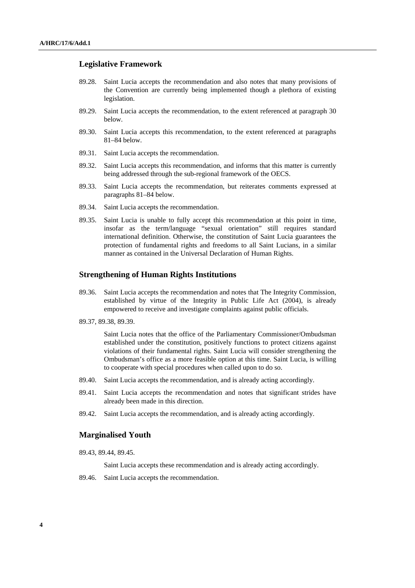# **Legislative Framework**

- 89.28. Saint Lucia accepts the recommendation and also notes that many provisions of the Convention are currently being implemented though a plethora of existing legislation.
- 89.29. Saint Lucia accepts the recommendation, to the extent referenced at paragraph 30 below.
- 89.30. Saint Lucia accepts this recommendation, to the extent referenced at paragraphs 81–84 below.
- 89.31. Saint Lucia accepts the recommendation.
- 89.32. Saint Lucia accepts this recommendation, and informs that this matter is currently being addressed through the sub-regional framework of the OECS.
- 89.33. Saint Lucia accepts the recommendation, but reiterates comments expressed at paragraphs 81–84 below.
- 89.34. Saint Lucia accepts the recommendation.
- 89.35. Saint Lucia is unable to fully accept this recommendation at this point in time, insofar as the term/language "sexual orientation" still requires standard international definition. Otherwise, the constitution of Saint Lucia guarantees the protection of fundamental rights and freedoms to all Saint Lucians, in a similar manner as contained in the Universal Declaration of Human Rights.

#### **Strengthening of Human Rights Institutions**

- 89.36. Saint Lucia accepts the recommendation and notes that The Integrity Commission, established by virtue of the Integrity in Public Life Act (2004), is already empowered to receive and investigate complaints against public officials.
- 89.37, 89.38, 89.39.

 Saint Lucia notes that the office of the Parliamentary Commissioner/Ombudsman established under the constitution, positively functions to protect citizens against violations of their fundamental rights. Saint Lucia will consider strengthening the Ombudsman's office as a more feasible option at this time. Saint Lucia, is willing to cooperate with special procedures when called upon to do so.

- 89.40. Saint Lucia accepts the recommendation, and is already acting accordingly.
- 89.41. Saint Lucia accepts the recommendation and notes that significant strides have already been made in this direction.
- 89.42. Saint Lucia accepts the recommendation, and is already acting accordingly.

#### **Marginalised Youth**

89.43, 89.44, 89.45.

Saint Lucia accepts these recommendation and is already acting accordingly.

89.46. Saint Lucia accepts the recommendation.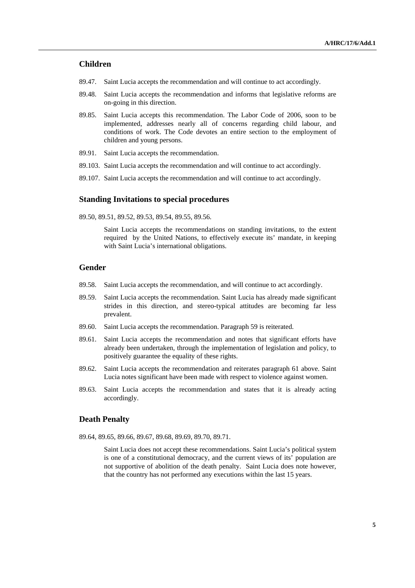# **Children**

- 89.47. Saint Lucia accepts the recommendation and will continue to act accordingly.
- 89.48. Saint Lucia accepts the recommendation and informs that legislative reforms are on-going in this direction.
- 89.85. Saint Lucia accepts this recommendation. The Labor Code of 2006, soon to be implemented, addresses nearly all of concerns regarding child labour, and conditions of work. The Code devotes an entire section to the employment of children and young persons.
- 89.91. Saint Lucia accepts the recommendation.
- 89.103. Saint Lucia accepts the recommendation and will continue to act accordingly.
- 89.107. Saint Lucia accepts the recommendation and will continue to act accordingly.

#### **Standing Invitations to special procedures**

89.50, 89.51, 89.52, 89.53, 89.54, 89.55, 89.56.

 Saint Lucia accepts the recommendations on standing invitations, to the extent required by the United Nations, to effectively execute its' mandate, in keeping with Saint Lucia's international obligations.

### **Gender**

- 89.58. Saint Lucia accepts the recommendation, and will continue to act accordingly.
- 89.59. Saint Lucia accepts the recommendation. Saint Lucia has already made significant strides in this direction, and stereo-typical attitudes are becoming far less prevalent.
- 89.60. Saint Lucia accepts the recommendation. Paragraph 59 is reiterated.
- 89.61. Saint Lucia accepts the recommendation and notes that significant efforts have already been undertaken, through the implementation of legislation and policy, to positively guarantee the equality of these rights.
- 89.62. Saint Lucia accepts the recommendation and reiterates paragraph 61 above. Saint Lucia notes significant have been made with respect to violence against women.
- 89.63. Saint Lucia accepts the recommendation and states that it is already acting accordingly.

#### **Death Penalty**

89.64, 89.65, 89.66, 89.67, 89.68, 89.69, 89.70, 89.71.

 Saint Lucia does not accept these recommendations. Saint Lucia's political system is one of a constitutional democracy, and the current views of its' population are not supportive of abolition of the death penalty. Saint Lucia does note however, that the country has not performed any executions within the last 15 years.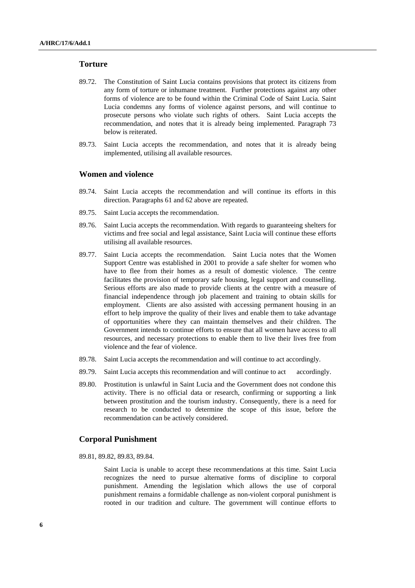# **Torture**

- 89.72. The Constitution of Saint Lucia contains provisions that protect its citizens from any form of torture or inhumane treatment. Further protections against any other forms of violence are to be found within the Criminal Code of Saint Lucia. Saint Lucia condemns any forms of violence against persons, and will continue to prosecute persons who violate such rights of others. Saint Lucia accepts the recommendation, and notes that it is already being implemented. Paragraph 73 below is reiterated.
- 89.73. Saint Lucia accepts the recommendation, and notes that it is already being implemented, utilising all available resources.

### **Women and violence**

- 89.74. Saint Lucia accepts the recommendation and will continue its efforts in this direction. Paragraphs 61 and 62 above are repeated.
- 89.75. Saint Lucia accepts the recommendation.
- 89.76. Saint Lucia accepts the recommendation. With regards to guaranteeing shelters for victims and free social and legal assistance, Saint Lucia will continue these efforts utilising all available resources.
- 89.77. Saint Lucia accepts the recommendation. Saint Lucia notes that the Women Support Centre was established in 2001 to provide a safe shelter for women who have to flee from their homes as a result of domestic violence. The centre facilitates the provision of temporary safe housing, legal support and counselling. Serious efforts are also made to provide clients at the centre with a measure of financial independence through job placement and training to obtain skills for employment. Clients are also assisted with accessing permanent housing in an effort to help improve the quality of their lives and enable them to take advantage of opportunities where they can maintain themselves and their children. The Government intends to continue efforts to ensure that all women have access to all resources, and necessary protections to enable them to live their lives free from violence and the fear of violence.
- 89.78. Saint Lucia accepts the recommendation and will continue to act accordingly.
- 89.79. Saint Lucia accepts this recommendation and will continue to act accordingly.
- 89.80. Prostitution is unlawful in Saint Lucia and the Government does not condone this activity. There is no official data or research, confirming or supporting a link between prostitution and the tourism industry. Consequently, there is a need for research to be conducted to determine the scope of this issue, before the recommendation can be actively considered.

### **Corporal Punishment**

89.81, 89.82, 89.83, 89.84.

 Saint Lucia is unable to accept these recommendations at this time. Saint Lucia recognizes the need to pursue alternative forms of discipline to corporal punishment. Amending the legislation which allows the use of corporal punishment remains a formidable challenge as non-violent corporal punishment is rooted in our tradition and culture. The government will continue efforts to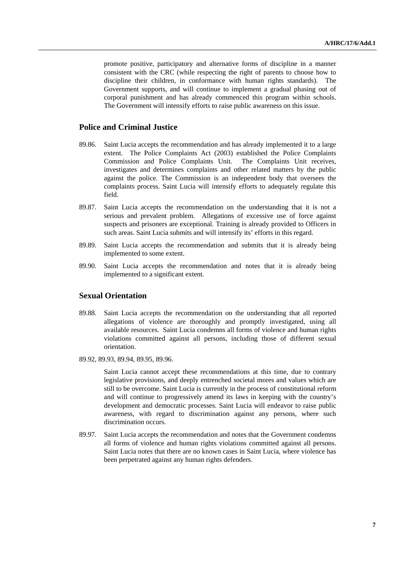promote positive, participatory and alternative forms of discipline in a manner consistent with the CRC (while respecting the right of parents to choose how to discipline their children, in conformance with human rights standards). The Government supports, and will continue to implement a gradual phasing out of corporal punishment and has already commenced this program within schools. The Government will intensify efforts to raise public awareness on this issue.

# **Police and Criminal Justice**

- 89.86. Saint Lucia accepts the recommendation and has already implemented it to a large extent. The Police Complaints Act (2003) established the Police Complaints Commission and Police Complaints Unit. The Complaints Unit receives, investigates and determines complaints and other related matters by the public against the police. The Commission is an independent body that oversees the complaints process. Saint Lucia will intensify efforts to adequately regulate this field.
- 89.87. Saint Lucia accepts the recommendation on the understanding that it is not a serious and prevalent problem. Allegations of excessive use of force against suspects and prisoners are exceptional. Training is already provided to Officers in such areas. Saint Lucia submits and will intensify its' efforts in this regard.
- 89.89. Saint Lucia accepts the recommendation and submits that it is already being implemented to some extent.
- 89.90. Saint Lucia accepts the recommendation and notes that it is already being implemented to a significant extent.

# **Sexual Orientation**

- 89.88. Saint Lucia accepts the recommendation on the understanding that all reported allegations of violence are thoroughly and promptly investigated, using all available resources. Saint Lucia condemns all forms of violence and human rights violations committed against all persons, including those of different sexual orientation.
- 89.92, 89.93, 89.94, 89.95, 89.96.

 Saint Lucia cannot accept these recommendations at this time, due to contrary legislative provisions, and deeply entrenched societal mores and values which are still to be overcome. Saint Lucia is currently in the process of constitutional reform and will continue to progressively amend its laws in keeping with the country's development and democratic processes. Saint Lucia will endeavor to raise public awareness, with regard to discrimination against any persons, where such discrimination occurs.

89.97. Saint Lucia accepts the recommendation and notes that the Government condemns all forms of violence and human rights violations committed against all persons. Saint Lucia notes that there are no known cases in Saint Lucia, where violence has been perpetrated against any human rights defenders.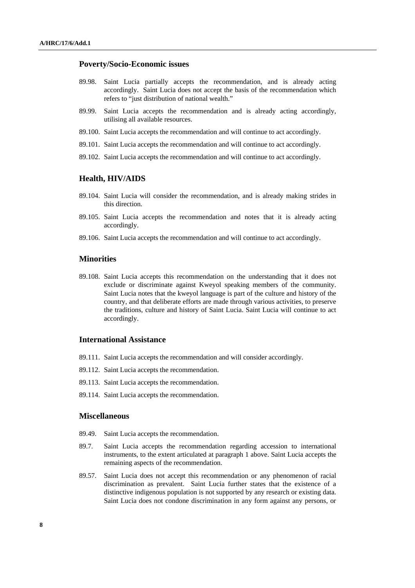# **Poverty/Socio-Economic issues**

- 89.98. Saint Lucia partially accepts the recommendation, and is already acting accordingly. Saint Lucia does not accept the basis of the recommendation which refers to "just distribution of national wealth."
- 89.99. Saint Lucia accepts the recommendation and is already acting accordingly, utilising all available resources.
- 89.100. Saint Lucia accepts the recommendation and will continue to act accordingly.
- 89.101. Saint Lucia accepts the recommendation and will continue to act accordingly.
- 89.102. Saint Lucia accepts the recommendation and will continue to act accordingly.

#### **Health, HIV/AIDS**

- 89.104. Saint Lucia will consider the recommendation, and is already making strides in this direction.
- 89.105. Saint Lucia accepts the recommendation and notes that it is already acting accordingly.
- 89.106. Saint Lucia accepts the recommendation and will continue to act accordingly.

# **Minorities**

89.108. Saint Lucia accepts this recommendation on the understanding that it does not exclude or discriminate against Kweyol speaking members of the community. Saint Lucia notes that the kweyol language is part of the culture and history of the country, and that deliberate efforts are made through various activities, to preserve the traditions, culture and history of Saint Lucia. Saint Lucia will continue to act accordingly.

# **International Assistance**

- 89.111. Saint Lucia accepts the recommendation and will consider accordingly.
- 89.112. Saint Lucia accepts the recommendation.
- 89.113. Saint Lucia accepts the recommendation.
- 89.114. Saint Lucia accepts the recommendation.

# **Miscellaneous**

- 89.49. Saint Lucia accepts the recommendation.
- 89.7. Saint Lucia accepts the recommendation regarding accession to international instruments, to the extent articulated at paragraph 1 above. Saint Lucia accepts the remaining aspects of the recommendation.
- 89.57. Saint Lucia does not accept this recommendation or any phenomenon of racial discrimination as prevalent. Saint Lucia further states that the existence of a distinctive indigenous population is not supported by any research or existing data. Saint Lucia does not condone discrimination in any form against any persons, or